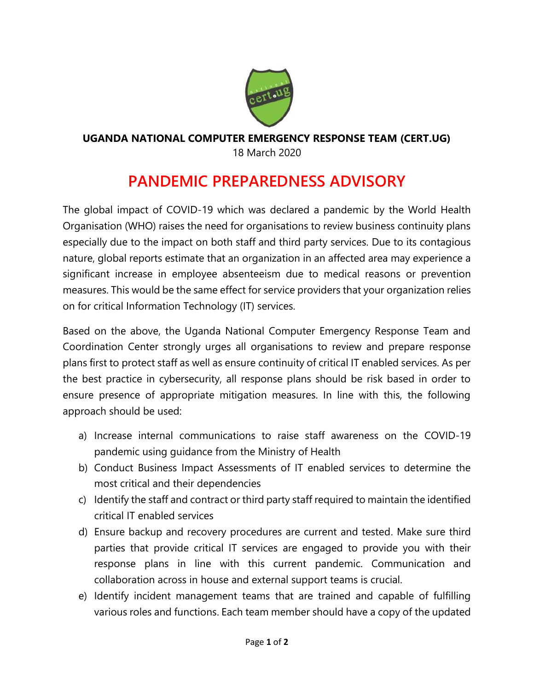

## **UGANDA NATIONAL COMPUTER EMERGENCY RESPONSE TEAM (CERT.UG)**

18 March 2020

## **PANDEMIC PREPAREDNESS ADVISORY**

The global impact of COVID-19 which was declared a pandemic by the World Health Organisation (WHO) raises the need for organisations to review business continuity plans especially due to the impact on both staff and third party services. Due to its contagious nature, global reports estimate that an organization in an affected area may experience a significant increase in employee absenteeism due to medical reasons or prevention measures. This would be the same effect for service providers that your organization relies on for critical Information Technology (IT) services.

Based on the above, the Uganda National Computer Emergency Response Team and Coordination Center strongly urges all organisations to review and prepare response plans first to protect staff as well as ensure continuity of critical IT enabled services. As per the best practice in cybersecurity, all response plans should be risk based in order to ensure presence of appropriate mitigation measures. In line with this, the following approach should be used:

- a) Increase internal communications to raise staff awareness on the COVID-19 pandemic using guidance from the Ministry of Health
- b) Conduct Business Impact Assessments of IT enabled services to determine the most critical and their dependencies
- c) Identify the staff and contract or third party staff required to maintain the identified critical IT enabled services
- d) Ensure backup and recovery procedures are current and tested. Make sure third parties that provide critical IT services are engaged to provide you with their response plans in line with this current pandemic. Communication and collaboration across in house and external support teams is crucial.
- e) Identify incident management teams that are trained and capable of fulfilling various roles and functions. Each team member should have a copy of the updated